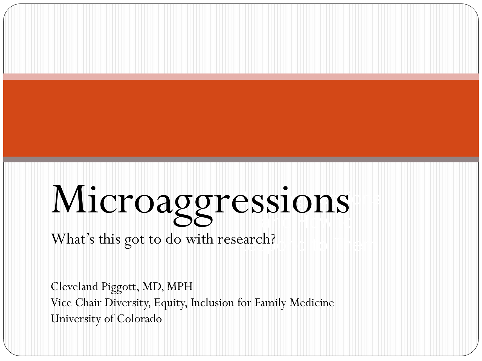#### $\mathsf{essions}$  $\sim$   $\sim$ Microaggressions

### What's this got to do with research?

Cleveland Piggott, MD, MPH Vice Chair Diversity, Equity, Inclusion for Family Medicine University of Colorado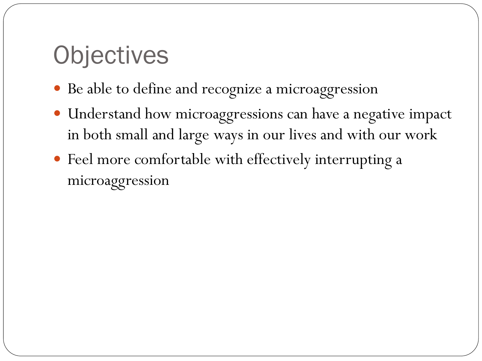# **Objectives**

- Be able to define and recognize a microaggression
- Understand how microaggressions can have a negative impact in both small and large ways in our lives and with our work
- Feel more comfortable with effectively interrupting a microaggression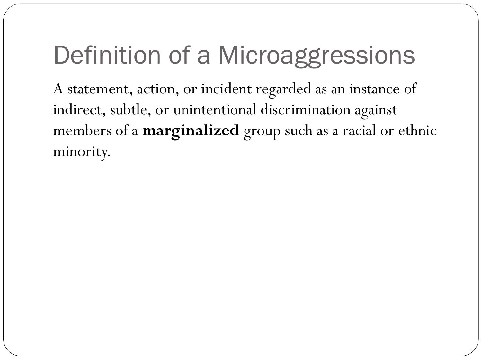# Definition of a Microaggressions

A statement, action, or incident regarded as an instance of indirect, subtle, or unintentional discrimination against members of a **marginalized** group such as a racial or ethnic minority.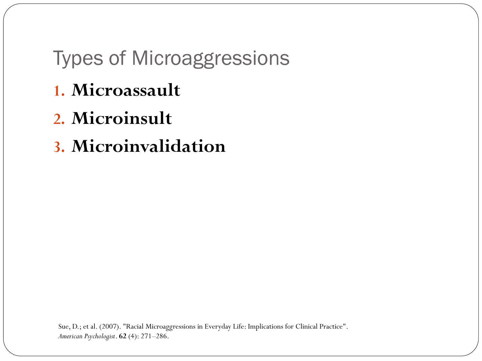#### Types of Microaggressions

- **1. Microassault**
- **2. Microinsult**
- **3. Microinvalidation**

Sue, D.; et al. (2007). "Racial Microaggressions in Everyday Life: Implications for Clinical Practice". *American Psychologist*. **62** (4): 271–286.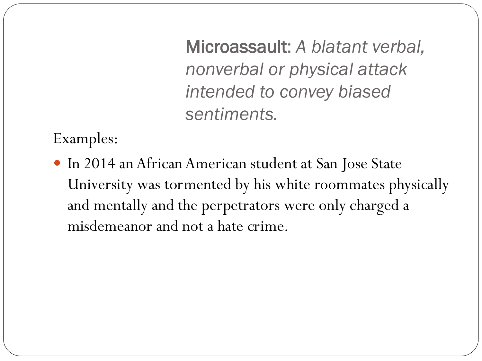Microassault: *A blatant verbal, nonverbal or physical attack intended to convey biased sentiments.* 

Examples:

 In 2014 an African American student at San Jose State University was tormented by his white roommates physically and mentally and the perpetrators were only charged a misdemeanor and not a hate crime.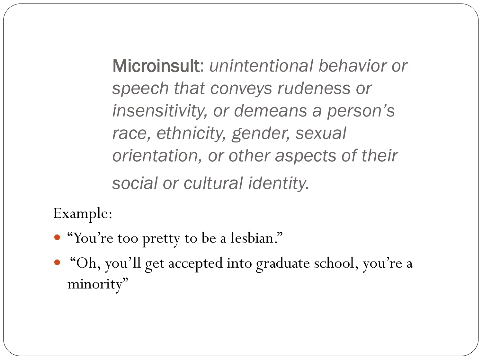Microinsult: *unintentional behavior or speech that conveys rudeness or insensitivity, or demeans a person's race, ethnicity, gender, sexual orientation, or other aspects of their social or cultural identity.*

Example:

- "You're too pretty to be a lesbian."
- "Oh, you'll get accepted into graduate school, you're a minority"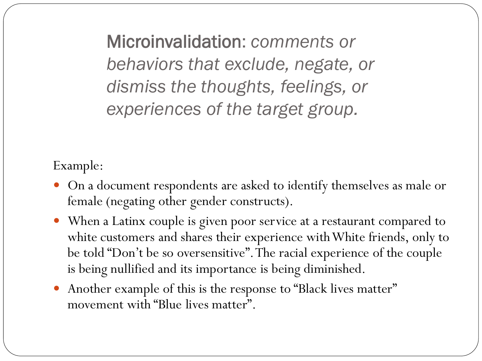Microinvalidation: *comments or behaviors that exclude, negate, or dismiss the thoughts, feelings, or experiences of the target group.* 

Example:

- On a document respondents are asked to identify themselves as male or female (negating other gender constructs).
- When a Latinx couple is given poor service at a restaurant compared to white customers and shares their experience with White friends, only to be told "Don't be so oversensitive". The racial experience of the couple is being nullified and its importance is being diminished.
- Another example of this is the response to "Black lives matter" movement with "Blue lives matter".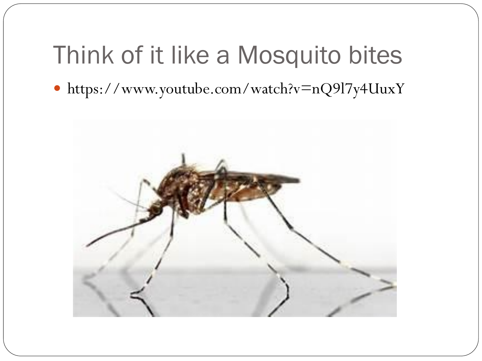# Think of it like a Mosquito bites

https://www.youtube.com/watch?v=nQ9l7y4UuxY

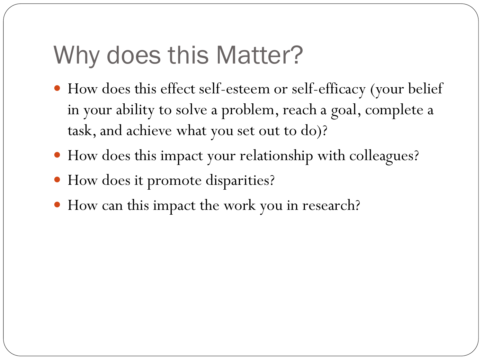# Why does this Matter?

- How does this effect self-esteem or self-efficacy (your belief in your ability to solve a problem, reach a goal, complete a task, and achieve what you set out to do)?
- How does this impact your relationship with colleagues?
- How does it promote disparities?
- How can this impact the work you in research?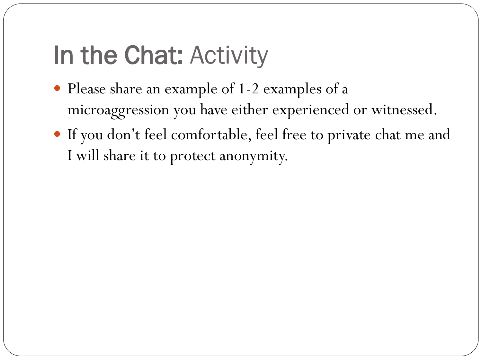# In the Chat: Activity

- Please share an example of 1-2 examples of a microaggression you have either experienced or witnessed.
- If you don't feel comfortable, feel free to private chat me and I will share it to protect anonymity.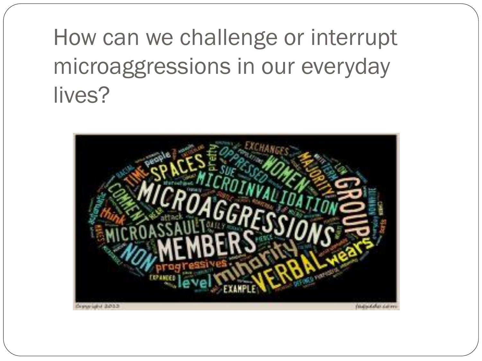# How can we challenge or interrupt microaggressions in our everyday lives?

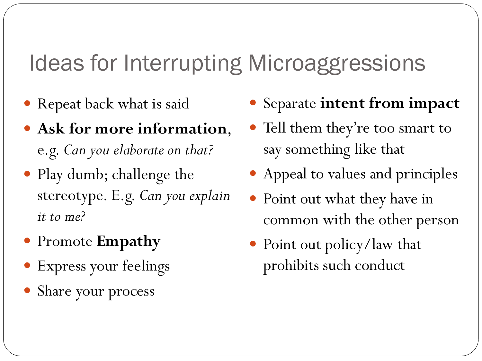### Ideas for Interrupting Microaggressions

- Repeat back what is said
- **Ask for more information**, e.g. *Can you elaborate on that?*
- Play dumb; challenge the stereotype. E.g. *Can you explain it to me?*
- Promote **Empathy**
- Express your feelings
- Share your process
- Separate **intent from impact**
- Tell them they're too smart to say something like that
- Appeal to values and principles
- Point out what they have in common with the other person
- Point out policy/law that prohibits such conduct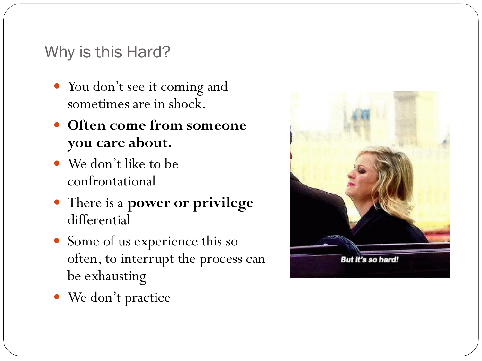#### Why is this Hard?

- You don't see it coming and sometimes are in shock.
- **Often come from someone you care about.**
- We don't like to be confrontational
- There is a **power or privilege**  differential
- Some of us experience this so often, to interrupt the process can be exhausting



We don't practice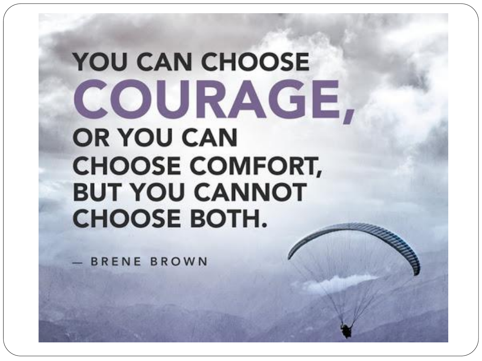# **YOU CAN CHOOSE** COURAGE, **OR YOU CAN CHOOSE COMFORT, BUT YOU CANNOT CHOOSE BOTH.**

BRENE BROWN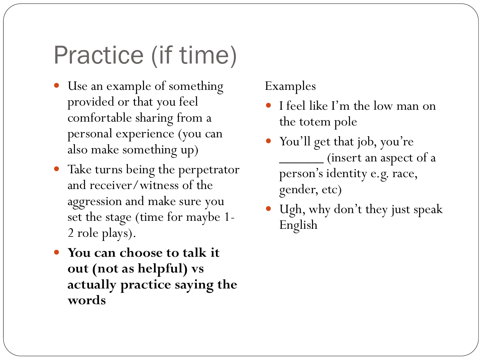# Practice (if time)

- Use an example of something provided or that you feel comfortable sharing from a personal experience (you can also make something up)
- Take turns being the perpetrator and receiver/witness of the aggression and make sure you set the stage (time for maybe 1- 2 role plays).
- **You can choose to talk it out (not as helpful) vs actually practice saying the words**

#### Examples

- I feel like I'm the low man on the totem pole
- You'll get that job, you're \_\_\_\_\_\_ (insert an aspect of a person's identity e.g. race, gender, etc)
- Ugh, why don't they just speak English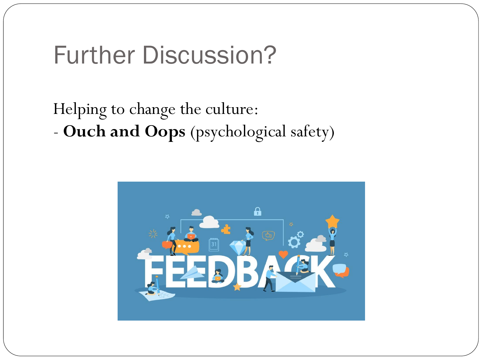### Further Discussion?

#### Helping to change the culture: - **Ouch and Oops** (psychological safety)